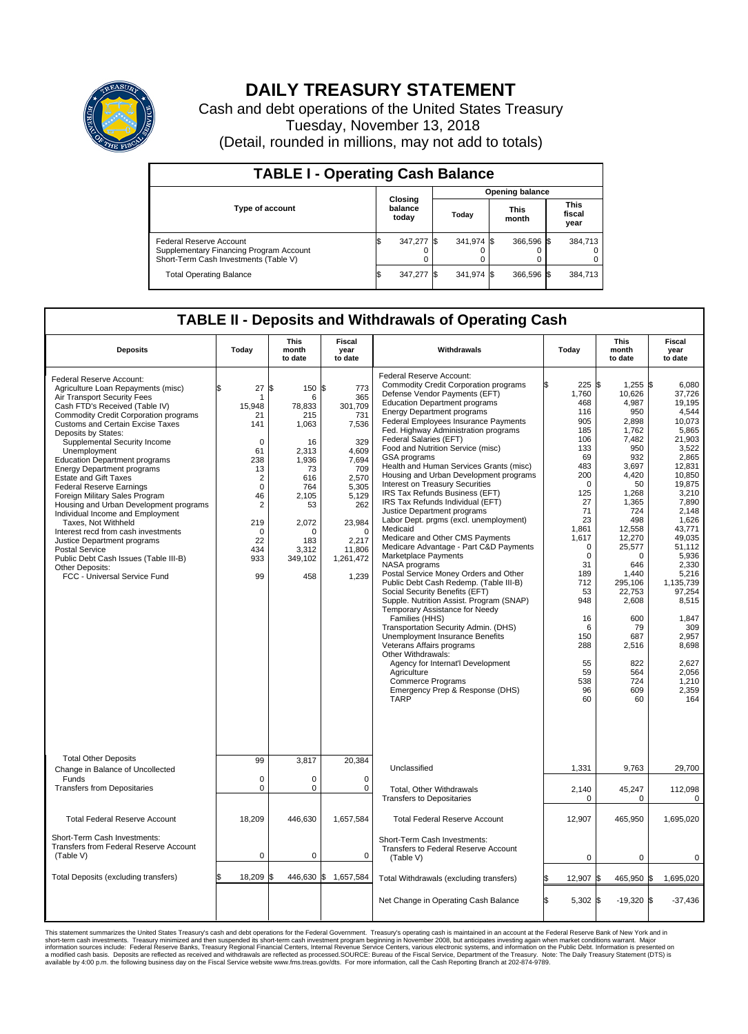

## **DAILY TREASURY STATEMENT**

Cash and debt operations of the United States Treasury Tuesday, November 13, 2018 (Detail, rounded in millions, may not add to totals)

| <b>TABLE I - Operating Cash Balance</b>                                                                     |                             |            |       |                        |                      |            |                               |         |  |  |  |
|-------------------------------------------------------------------------------------------------------------|-----------------------------|------------|-------|------------------------|----------------------|------------|-------------------------------|---------|--|--|--|
|                                                                                                             |                             |            |       | <b>Opening balance</b> |                      |            |                               |         |  |  |  |
| <b>Type of account</b>                                                                                      | Closing<br>balance<br>today |            | Today |                        | <b>This</b><br>month |            | <b>This</b><br>fiscal<br>year |         |  |  |  |
| Federal Reserve Account<br>Supplementary Financing Program Account<br>Short-Term Cash Investments (Table V) |                             | 347,277 \$ |       | 341,974 \$             |                      | 366.596 \$ |                               | 384,713 |  |  |  |
| <b>Total Operating Balance</b>                                                                              |                             | 347,277 \$ |       | 341,974 \$             |                      | 366,596 \$ |                               | 384,713 |  |  |  |

## **TABLE II - Deposits and Withdrawals of Operating Cash**

| <b>Deposits</b>                                                                                                                                                                                                                                                                                                                                                                                                                                                                                                                                                                                                                                                                                                                                                                     | Today                                                                                                                                                                         | <b>This</b><br>month<br>to date                                                                                                                               | <b>Fiscal</b><br>year<br>to date                                                                                                                                       | Withdrawals                                                                                                                                                                                                                                                                                                                                                                                                                                                                                                                                                                                                                                                                                                                                                                                                                                                                                                                                                                                                                                                                                                                                                                                                                                                |     | Today                                                                                                                                                                                                                                              | This<br>month<br>to date                                                                                                                                                                                                                                                                   | Fiscal<br>year<br>to date                                                                                                                                                                                                                                                                                                 |
|-------------------------------------------------------------------------------------------------------------------------------------------------------------------------------------------------------------------------------------------------------------------------------------------------------------------------------------------------------------------------------------------------------------------------------------------------------------------------------------------------------------------------------------------------------------------------------------------------------------------------------------------------------------------------------------------------------------------------------------------------------------------------------------|-------------------------------------------------------------------------------------------------------------------------------------------------------------------------------|---------------------------------------------------------------------------------------------------------------------------------------------------------------|------------------------------------------------------------------------------------------------------------------------------------------------------------------------|------------------------------------------------------------------------------------------------------------------------------------------------------------------------------------------------------------------------------------------------------------------------------------------------------------------------------------------------------------------------------------------------------------------------------------------------------------------------------------------------------------------------------------------------------------------------------------------------------------------------------------------------------------------------------------------------------------------------------------------------------------------------------------------------------------------------------------------------------------------------------------------------------------------------------------------------------------------------------------------------------------------------------------------------------------------------------------------------------------------------------------------------------------------------------------------------------------------------------------------------------------|-----|----------------------------------------------------------------------------------------------------------------------------------------------------------------------------------------------------------------------------------------------------|--------------------------------------------------------------------------------------------------------------------------------------------------------------------------------------------------------------------------------------------------------------------------------------------|---------------------------------------------------------------------------------------------------------------------------------------------------------------------------------------------------------------------------------------------------------------------------------------------------------------------------|
| Federal Reserve Account:<br>Agriculture Loan Repayments (misc)<br>Air Transport Security Fees<br>Cash FTD's Received (Table IV)<br><b>Commodity Credit Corporation programs</b><br><b>Customs and Certain Excise Taxes</b><br>Deposits by States:<br>Supplemental Security Income<br>Unemployment<br><b>Education Department programs</b><br><b>Energy Department programs</b><br><b>Estate and Gift Taxes</b><br><b>Federal Reserve Earnings</b><br>Foreign Military Sales Program<br>Housing and Urban Development programs<br>Individual Income and Employment<br>Taxes. Not Withheld<br>Interest recd from cash investments<br>Justice Department programs<br><b>Postal Service</b><br>Public Debt Cash Issues (Table III-B)<br>Other Deposits:<br>FCC - Universal Service Fund | 27<br>\$<br>-1<br>15,948<br>21<br>141<br>$\mathbf 0$<br>61<br>238<br>13<br>$\overline{2}$<br>$\Omega$<br>46<br>$\overline{c}$<br>219<br>$\mathbf 0$<br>22<br>434<br>933<br>99 | S.<br>150 \$<br>6<br>78,833<br>215<br>1,063<br>16<br>2.313<br>1,936<br>73<br>616<br>764<br>2.105<br>53<br>2,072<br>$\Omega$<br>183<br>3.312<br>349,102<br>458 | 773<br>365<br>301.709<br>731<br>7,536<br>329<br>4.609<br>7,694<br>709<br>2,570<br>5,305<br>5,129<br>262<br>23,984<br>$\Omega$<br>2,217<br>11,806<br>1,261,472<br>1,239 | Federal Reserve Account:<br><b>Commodity Credit Corporation programs</b><br>Defense Vendor Payments (EFT)<br><b>Education Department programs</b><br><b>Energy Department programs</b><br><b>Federal Employees Insurance Payments</b><br>Fed. Highway Administration programs<br>Federal Salaries (EFT)<br>Food and Nutrition Service (misc)<br>GSA programs<br>Health and Human Services Grants (misc)<br>Housing and Urban Development programs<br>Interest on Treasury Securities<br>IRS Tax Refunds Business (EFT)<br>IRS Tax Refunds Individual (EFT)<br>Justice Department programs<br>Labor Dept. prgms (excl. unemployment)<br>Medicaid<br>Medicare and Other CMS Payments<br>Medicare Advantage - Part C&D Payments<br>Marketplace Payments<br>NASA programs<br>Postal Service Money Orders and Other<br>Public Debt Cash Redemp. (Table III-B)<br>Social Security Benefits (EFT)<br>Supple. Nutrition Assist. Program (SNAP)<br>Temporary Assistance for Needy<br>Families (HHS)<br>Transportation Security Admin. (DHS)<br>Unemployment Insurance Benefits<br>Veterans Affairs programs<br>Other Withdrawals:<br>Agency for Internat'l Development<br>Agriculture<br><b>Commerce Programs</b><br>Emergency Prep & Response (DHS)<br><b>TARP</b> |     | 225S<br>1,760<br>468<br>116<br>905<br>185<br>106<br>133<br>69<br>483<br>200<br>$\mathbf 0$<br>125<br>27<br>71<br>23<br>1,861<br>1,617<br>0<br>$\mathbf 0$<br>31<br>189<br>712<br>53<br>948<br>16<br>6<br>150<br>288<br>55<br>59<br>538<br>96<br>60 | 1,255 \$<br>10,626<br>4,987<br>950<br>2,898<br>1,762<br>7.482<br>950<br>932<br>3,697<br>4.420<br>50<br>1,268<br>1,365<br>724<br>498<br>12,558<br>12,270<br>25,577<br>$\Omega$<br>646<br>1.440<br>295,106<br>22,753<br>2,608<br>600<br>79<br>687<br>2,516<br>822<br>564<br>724<br>609<br>60 | 6,080<br>37,726<br>19.195<br>4,544<br>10,073<br>5,865<br>21.903<br>3,522<br>2.865<br>12,831<br>10.850<br>19,875<br>3,210<br>7,890<br>2,148<br>1,626<br>43,771<br>49.035<br>51,112<br>5,936<br>2,330<br>5,216<br>1,135,739<br>97,254<br>8,515<br>1,847<br>309<br>2.957<br>8.698<br>2,627<br>2,056<br>1,210<br>2,359<br>164 |
| <b>Total Other Deposits</b><br>Change in Balance of Uncollected                                                                                                                                                                                                                                                                                                                                                                                                                                                                                                                                                                                                                                                                                                                     | 99                                                                                                                                                                            | 3,817                                                                                                                                                         | 20,384                                                                                                                                                                 | Unclassified                                                                                                                                                                                                                                                                                                                                                                                                                                                                                                                                                                                                                                                                                                                                                                                                                                                                                                                                                                                                                                                                                                                                                                                                                                               |     | 1,331                                                                                                                                                                                                                                              | 9,763                                                                                                                                                                                                                                                                                      | 29,700                                                                                                                                                                                                                                                                                                                    |
| Funds<br><b>Transfers from Depositaries</b>                                                                                                                                                                                                                                                                                                                                                                                                                                                                                                                                                                                                                                                                                                                                         | $\mathbf 0$<br>$\mathbf 0$                                                                                                                                                    | 0<br>0                                                                                                                                                        | $\mathbf 0$<br>$\mathbf 0$                                                                                                                                             | Total, Other Withdrawals<br><b>Transfers to Depositaries</b>                                                                                                                                                                                                                                                                                                                                                                                                                                                                                                                                                                                                                                                                                                                                                                                                                                                                                                                                                                                                                                                                                                                                                                                               |     | 2,140<br>$\mathbf 0$                                                                                                                                                                                                                               | 45,247<br>0                                                                                                                                                                                                                                                                                | 112,098<br>0                                                                                                                                                                                                                                                                                                              |
| <b>Total Federal Reserve Account</b>                                                                                                                                                                                                                                                                                                                                                                                                                                                                                                                                                                                                                                                                                                                                                | 18,209                                                                                                                                                                        | 446,630                                                                                                                                                       | 1,657,584                                                                                                                                                              | <b>Total Federal Reserve Account</b>                                                                                                                                                                                                                                                                                                                                                                                                                                                                                                                                                                                                                                                                                                                                                                                                                                                                                                                                                                                                                                                                                                                                                                                                                       |     | 12,907                                                                                                                                                                                                                                             | 465,950                                                                                                                                                                                                                                                                                    | 1,695,020                                                                                                                                                                                                                                                                                                                 |
| Short-Term Cash Investments:<br>Transfers from Federal Reserve Account<br>(Table V)                                                                                                                                                                                                                                                                                                                                                                                                                                                                                                                                                                                                                                                                                                 | $\pmb{0}$                                                                                                                                                                     | 0                                                                                                                                                             | 0                                                                                                                                                                      | Short-Term Cash Investments:<br><b>Transfers to Federal Reserve Account</b><br>(Table V)                                                                                                                                                                                                                                                                                                                                                                                                                                                                                                                                                                                                                                                                                                                                                                                                                                                                                                                                                                                                                                                                                                                                                                   |     | $\mathbf 0$                                                                                                                                                                                                                                        | $\Omega$                                                                                                                                                                                                                                                                                   | $\mathbf 0$                                                                                                                                                                                                                                                                                                               |
| Total Deposits (excluding transfers)                                                                                                                                                                                                                                                                                                                                                                                                                                                                                                                                                                                                                                                                                                                                                | 18,209                                                                                                                                                                        | 446,630                                                                                                                                                       | \$<br>1,657,584                                                                                                                                                        | Total Withdrawals (excluding transfers)                                                                                                                                                                                                                                                                                                                                                                                                                                                                                                                                                                                                                                                                                                                                                                                                                                                                                                                                                                                                                                                                                                                                                                                                                    | \$  | 12,907 \$                                                                                                                                                                                                                                          | 465,950 \$                                                                                                                                                                                                                                                                                 | 1,695,020                                                                                                                                                                                                                                                                                                                 |
|                                                                                                                                                                                                                                                                                                                                                                                                                                                                                                                                                                                                                                                                                                                                                                                     |                                                                                                                                                                               |                                                                                                                                                               |                                                                                                                                                                        | Net Change in Operating Cash Balance                                                                                                                                                                                                                                                                                                                                                                                                                                                                                                                                                                                                                                                                                                                                                                                                                                                                                                                                                                                                                                                                                                                                                                                                                       | l\$ | 5,302 \$                                                                                                                                                                                                                                           | $-19,320$ \$                                                                                                                                                                                                                                                                               | $-37,436$                                                                                                                                                                                                                                                                                                                 |

This statement summarizes the United States Treasury's cash and debt operations for the Federal Government. Treasury soperating in November 2008, but anticiarded in a cocount at the Federal Reserve Bank of New York and in<br>